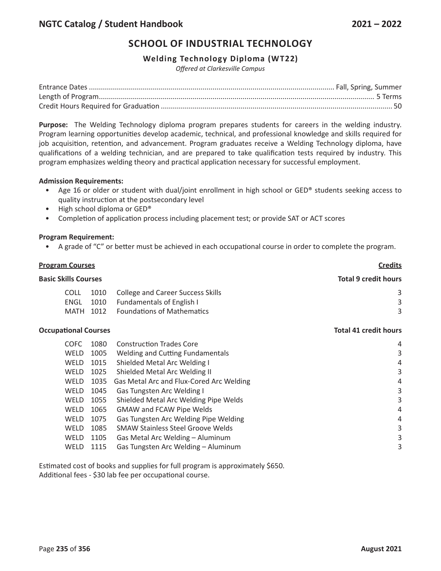## **SCHOOL OF INDUSTRIAL TECHNOLOGY**

### **Welding Technology Diploma (WT22)**

*Offered at Clarkesville Campus*

**Purpose:** The Welding Technology diploma program prepares students for careers in the welding industry. Program learning opportunities develop academic, technical, and professional knowledge and skills required for job acquisition, retention, and advancement. Program graduates receive a Welding Technology diploma, have qualifications of a welding technician, and are prepared to take qualification tests required by industry. This program emphasizes welding theory and practical application necessary for successful employment.

#### **Admission Requirements:**

- Age 16 or older or student with dual/joint enrollment in high school or GED® students seeking access to quality instruction at the postsecondary level
- High school diploma or GED®
- Completion of application process including placement test; or provide SAT or ACT scores

#### **Program Requirement:**

A grade of "C" or better must be achieved in each occupational course in order to complete the program.

# **Program Courses Credits Basic Skills Courses Total 9 credit hours** COLL 1010 College and Career Success Skills 3 3 ENGL 1010 Fundamentals of English I 3 MATH 1012 Foundations of Mathematics 3 **Occupational Courses Total 41 credit hours** COFC 1080 Construction Trades

| <b>COFC</b> | 1080 | Construction Trades Core                 | 4 |
|-------------|------|------------------------------------------|---|
| <b>WELD</b> | 1005 | Welding and Cutting Fundamentals         | 3 |
| WELD        | 1015 | Shielded Metal Arc Welding I             | 4 |
| WELD        | 1025 | Shielded Metal Arc Welding II            | 3 |
| <b>WELD</b> | 1035 | Gas Metal Arc and Flux-Cored Arc Welding | 4 |
| WELD        | 1045 | Gas Tungsten Arc Welding I               | 3 |
| <b>WELD</b> | 1055 | Shielded Metal Arc Welding Pipe Welds    | 3 |
| WELD        | 1065 | <b>GMAW and FCAW Pipe Welds</b>          | 4 |
| WELD        | 1075 | Gas Tungsten Arc Welding Pipe Welding    | 4 |
| WELD        | 1085 | <b>SMAW Stainless Steel Groove Welds</b> | 3 |
| <b>WELD</b> | 1105 | Gas Metal Arc Welding - Aluminum         | 3 |
| WELD        | 1115 | Gas Tungsten Arc Welding - Aluminum      | 3 |
|             |      |                                          |   |

Estimated cost of books and supplies for full program is approximately \$650. Additional fees - \$30 lab fee per occupational course.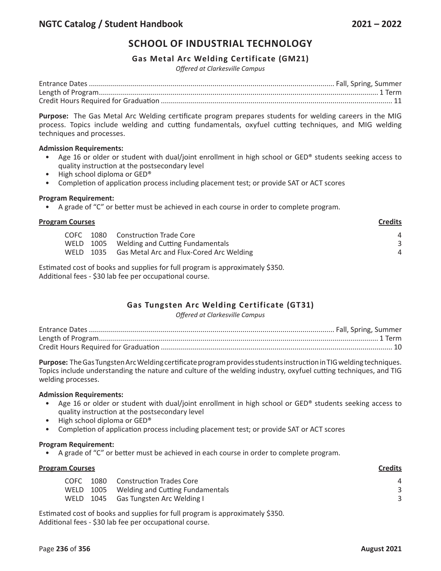## **SCHOOL OF INDUSTRIAL TECHNOLOGY**

### **Gas Metal Arc Welding Certificate (GM21)**

*Offered at Clarkesville Campus*

**Purpose:** The Gas Metal Arc Welding certificate program prepares students for welding careers in the MIG process. Topics include welding and cutting fundamentals, oxyfuel cutting techniques, and MIG welding techniques and processes.

#### **Admission Requirements:**

- Age 16 or older or student with dual/joint enrollment in high school or GED® students seeking access to quality instruction at the postsecondary level
- High school diploma or GED®
- Completion of application process including placement test; or provide SAT or ACT scores

#### **Program Requirement:**

• A grade of "C" or better must be achieved in each course in order to complete program.

| <b>Program Courses</b> |       |                                                    | <b>Credits</b> |
|------------------------|-------|----------------------------------------------------|----------------|
|                        | COEC. | 1080 Construction Trade Core                       | Δ              |
|                        |       | WELD 1005 Welding and Cutting Fundamentals         |                |
|                        |       | WELD 1035 Gas Metal Arc and Flux-Cored Arc Welding | 4              |

Estimated cost of books and supplies for full program is approximately \$350. Additional fees - \$30 lab fee per occupational course.

## **Gas Tungsten Arc Welding Certificate (GT31)**

*Offered at Clarkesville Campus*

**Purpose:** The Gas Tungsten Arc Welding certificate program provides students instruction in TIG welding techniques. Topics include understanding the nature and culture of the welding industry, oxyfuel cutting techniques, and TIG welding processes.

#### **Admission Requirements:**

- Age 16 or older or student with dual/joint enrollment in high school or GED® students seeking access to quality instruction at the postsecondary level
- High school diploma or GED®
- Completion of application process including placement test; or provide SAT or ACT scores

#### **Program Requirement:**

• A grade of "C" or better must be achieved in each course in order to complete program.

| <b>Program Courses</b> |  |                                            | <b>Credits</b> |
|------------------------|--|--------------------------------------------|----------------|
| COEC.                  |  | 1080 Construction Trades Core              | 4              |
|                        |  | WELD 1005 Welding and Cutting Fundamentals |                |
|                        |  | WELD 1045 Gas Tungsten Arc Welding I       |                |
|                        |  |                                            |                |

Estimated cost of books and supplies for full program is approximately \$350. Additional fees - \$30 lab fee per occupational course.